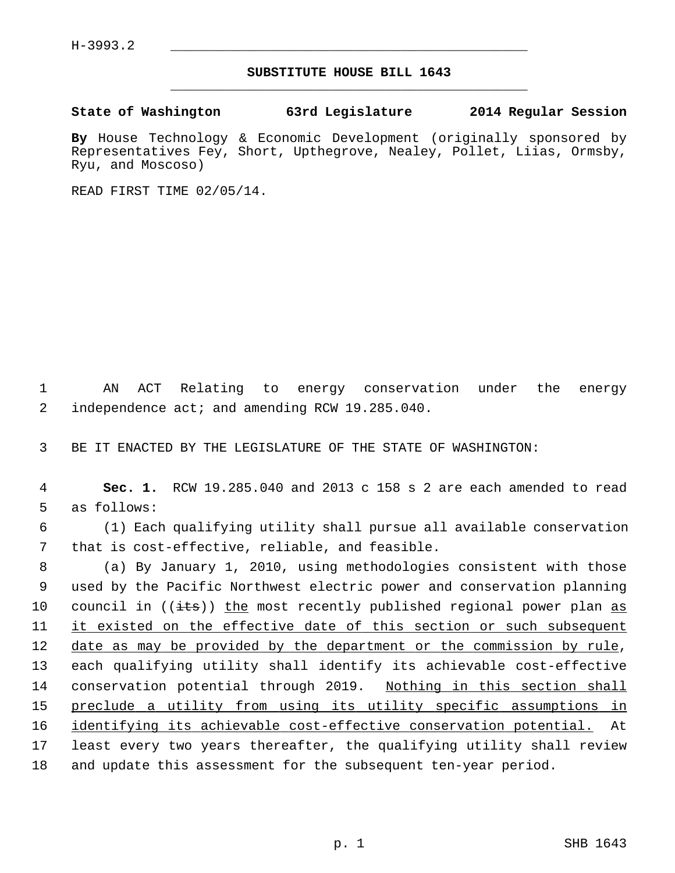## **SUBSTITUTE HOUSE BILL 1643** \_\_\_\_\_\_\_\_\_\_\_\_\_\_\_\_\_\_\_\_\_\_\_\_\_\_\_\_\_\_\_\_\_\_\_\_\_\_\_\_\_\_\_\_\_

## **State of Washington 63rd Legislature 2014 Regular Session**

**By** House Technology & Economic Development (originally sponsored by Representatives Fey, Short, Upthegrove, Nealey, Pollet, Liias, Ormsby, Ryu, and Moscoso)

READ FIRST TIME 02/05/14.

 1 AN ACT Relating to energy conservation under the energy 2 independence act; and amending RCW 19.285.040.

3 BE IT ENACTED BY THE LEGISLATURE OF THE STATE OF WASHINGTON:

 4 **Sec. 1.** RCW 19.285.040 and 2013 c 158 s 2 are each amended to read 5 as follows:

 6 (1) Each qualifying utility shall pursue all available conservation 7 that is cost-effective, reliable, and feasible.

 8 (a) By January 1, 2010, using methodologies consistent with those 9 used by the Pacific Northwest electric power and conservation planning 10 council in  $((i<sup>ts</sup>))$  the most recently published regional power plan as 11 it existed on the effective date of this section or such subsequent 12 date as may be provided by the department or the commission by rule, 13 each qualifying utility shall identify its achievable cost-effective 14 conservation potential through 2019. Nothing in this section shall 15 preclude a utility from using its utility specific assumptions in 16 identifying its achievable cost-effective conservation potential. At 17 least every two years thereafter, the qualifying utility shall review 18 and update this assessment for the subsequent ten-year period.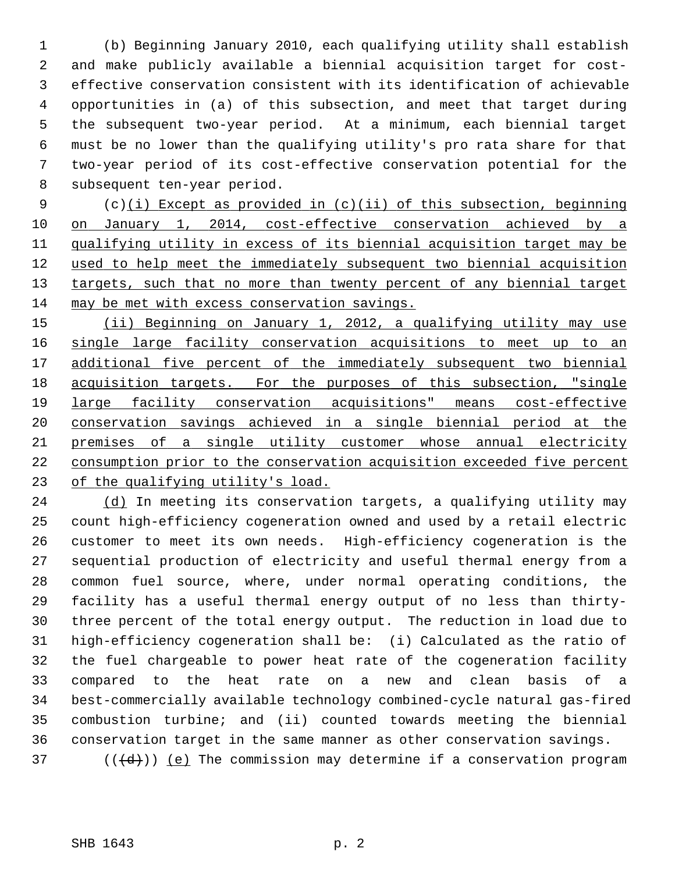1 (b) Beginning January 2010, each qualifying utility shall establish 2 and make publicly available a biennial acquisition target for cost- 3 effective conservation consistent with its identification of achievable 4 opportunities in (a) of this subsection, and meet that target during 5 the subsequent two-year period. At a minimum, each biennial target 6 must be no lower than the qualifying utility's pro rata share for that 7 two-year period of its cost-effective conservation potential for the 8 subsequent ten-year period.

 9 (c)(i) Except as provided in (c)(ii) of this subsection, beginning on January 1, 2014, cost-effective conservation achieved by a qualifying utility in excess of its biennial acquisition target may be used to help meet the immediately subsequent two biennial acquisition targets, such that no more than twenty percent of any biennial target may be met with excess conservation savings.

 (ii) Beginning on January 1, 2012, a qualifying utility may use single large facility conservation acquisitions to meet up to an additional five percent of the immediately subsequent two biennial acquisition targets. For the purposes of this subsection, "single large facility conservation acquisitions" means cost-effective conservation savings achieved in a single biennial period at the premises of a single utility customer whose annual electricity consumption prior to the conservation acquisition exceeded five percent of the qualifying utility's load.

24 (d) In meeting its conservation targets, a qualifying utility may 25 count high-efficiency cogeneration owned and used by a retail electric 26 customer to meet its own needs. High-efficiency cogeneration is the 27 sequential production of electricity and useful thermal energy from a 28 common fuel source, where, under normal operating conditions, the 29 facility has a useful thermal energy output of no less than thirty-30 three percent of the total energy output. The reduction in load due to 31 high-efficiency cogeneration shall be: (i) Calculated as the ratio of 32 the fuel chargeable to power heat rate of the cogeneration facility 33 compared to the heat rate on a new and clean basis of a 34 best-commercially available technology combined-cycle natural gas-fired 35 combustion turbine; and (ii) counted towards meeting the biennial 36 conservation target in the same manner as other conservation savings. 37 ( $(\overline{\{d\}})$ ) (e) The commission may determine if a conservation program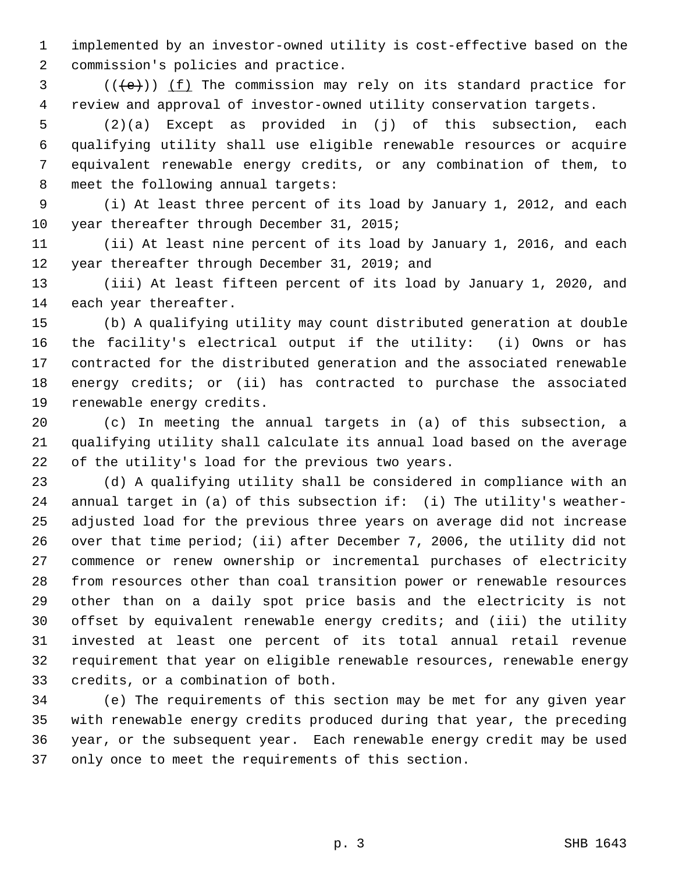1 implemented by an investor-owned utility is cost-effective based on the 2 commission's policies and practice.

 $3$  (( $\left(\frac{1}{e}\right)$ ) (f) The commission may rely on its standard practice for 4 review and approval of investor-owned utility conservation targets.

 5 (2)(a) Except as provided in (j) of this subsection, each 6 qualifying utility shall use eligible renewable resources or acquire 7 equivalent renewable energy credits, or any combination of them, to 8 meet the following annual targets:

 9 (i) At least three percent of its load by January 1, 2012, and each 10 year thereafter through December 31, 2015;

11 (ii) At least nine percent of its load by January 1, 2016, and each 12 year thereafter through December 31, 2019; and

13 (iii) At least fifteen percent of its load by January 1, 2020, and 14 each year thereafter.

15 (b) A qualifying utility may count distributed generation at double 16 the facility's electrical output if the utility: (i) Owns or has 17 contracted for the distributed generation and the associated renewable 18 energy credits; or (ii) has contracted to purchase the associated 19 renewable energy credits.

20 (c) In meeting the annual targets in (a) of this subsection, a 21 qualifying utility shall calculate its annual load based on the average 22 of the utility's load for the previous two years.

23 (d) A qualifying utility shall be considered in compliance with an 24 annual target in (a) of this subsection if: (i) The utility's weather-25 adjusted load for the previous three years on average did not increase 26 over that time period; (ii) after December 7, 2006, the utility did not 27 commence or renew ownership or incremental purchases of electricity 28 from resources other than coal transition power or renewable resources 29 other than on a daily spot price basis and the electricity is not 30 offset by equivalent renewable energy credits; and (iii) the utility 31 invested at least one percent of its total annual retail revenue 32 requirement that year on eligible renewable resources, renewable energy 33 credits, or a combination of both.

34 (e) The requirements of this section may be met for any given year 35 with renewable energy credits produced during that year, the preceding 36 year, or the subsequent year. Each renewable energy credit may be used 37 only once to meet the requirements of this section.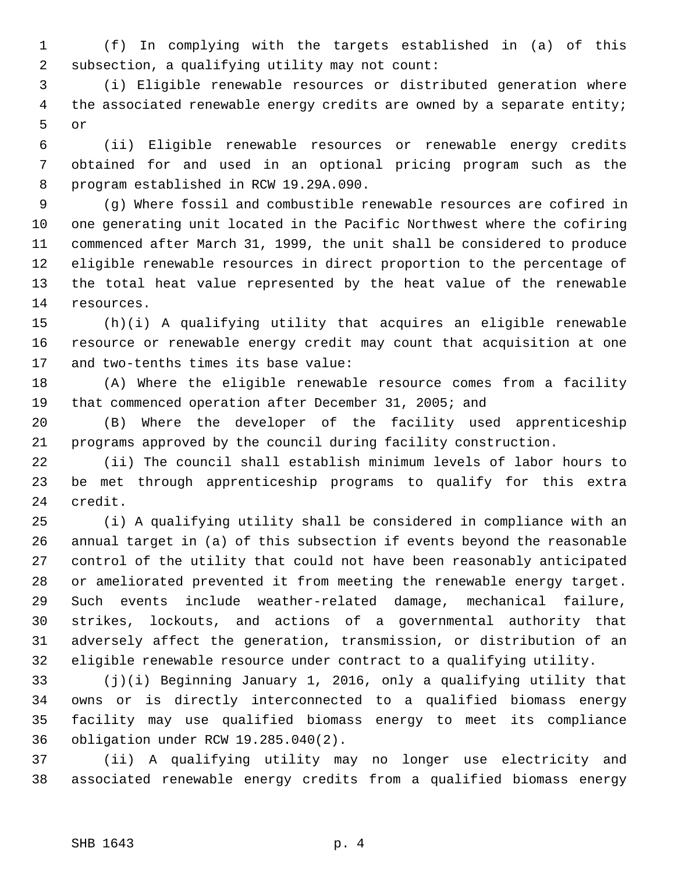1 (f) In complying with the targets established in (a) of this 2 subsection, a qualifying utility may not count:

 3 (i) Eligible renewable resources or distributed generation where 4 the associated renewable energy credits are owned by a separate entity; 5 or

 6 (ii) Eligible renewable resources or renewable energy credits 7 obtained for and used in an optional pricing program such as the 8 program established in RCW 19.29A.090.

 9 (g) Where fossil and combustible renewable resources are cofired in 10 one generating unit located in the Pacific Northwest where the cofiring 11 commenced after March 31, 1999, the unit shall be considered to produce 12 eligible renewable resources in direct proportion to the percentage of 13 the total heat value represented by the heat value of the renewable 14 resources.

15 (h)(i) A qualifying utility that acquires an eligible renewable 16 resource or renewable energy credit may count that acquisition at one 17 and two-tenths times its base value:

18 (A) Where the eligible renewable resource comes from a facility 19 that commenced operation after December 31, 2005; and

20 (B) Where the developer of the facility used apprenticeship 21 programs approved by the council during facility construction.

22 (ii) The council shall establish minimum levels of labor hours to 23 be met through apprenticeship programs to qualify for this extra 24 credit.

25 (i) A qualifying utility shall be considered in compliance with an 26 annual target in (a) of this subsection if events beyond the reasonable 27 control of the utility that could not have been reasonably anticipated 28 or ameliorated prevented it from meeting the renewable energy target. 29 Such events include weather-related damage, mechanical failure, 30 strikes, lockouts, and actions of a governmental authority that 31 adversely affect the generation, transmission, or distribution of an 32 eligible renewable resource under contract to a qualifying utility.

33 (j)(i) Beginning January 1, 2016, only a qualifying utility that 34 owns or is directly interconnected to a qualified biomass energy 35 facility may use qualified biomass energy to meet its compliance 36 obligation under RCW 19.285.040(2).

37 (ii) A qualifying utility may no longer use electricity and 38 associated renewable energy credits from a qualified biomass energy

## SHB 1643 p. 4